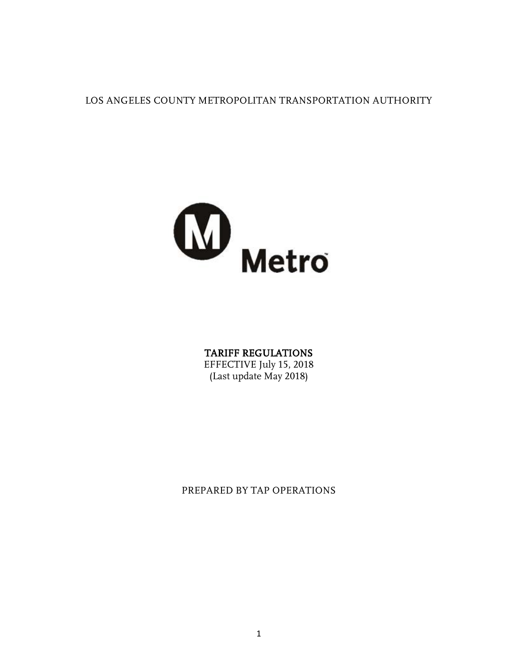LOS ANGELES COUNTY METROPOLITAN TRANSPORTATION AUTHORITY



#### TARIFF REGULATIONS

EFFECTIVE July 15, 2018 (Last update May 2018)

PREPARED BY TAP OPERATIONS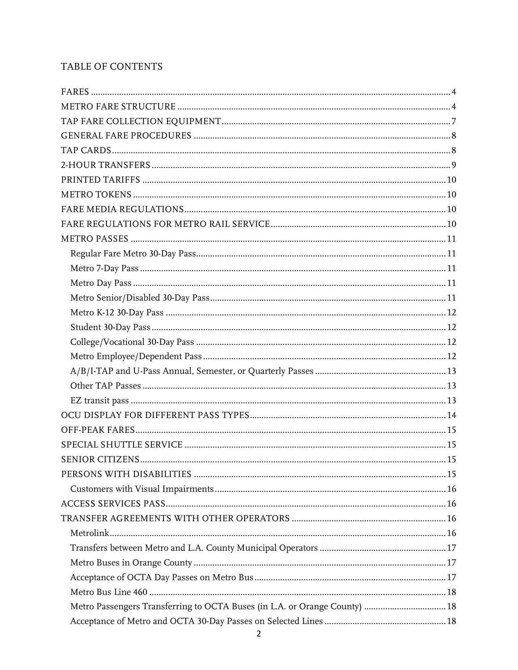## TABLE OF CONTENTS

| Metro Passengers Transferring to OCTA Buses (in L.A. or Orange County)  18 |  |
|----------------------------------------------------------------------------|--|
|                                                                            |  |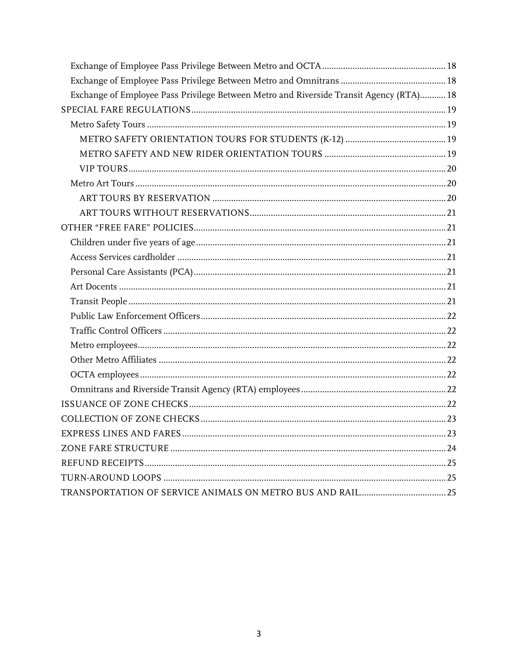| Exchange of Employee Pass Privilege Between Metro and Riverside Transit Agency (RTA) 18 |  |
|-----------------------------------------------------------------------------------------|--|
|                                                                                         |  |
|                                                                                         |  |
|                                                                                         |  |
|                                                                                         |  |
|                                                                                         |  |
|                                                                                         |  |
|                                                                                         |  |
|                                                                                         |  |
|                                                                                         |  |
|                                                                                         |  |
|                                                                                         |  |
|                                                                                         |  |
|                                                                                         |  |
|                                                                                         |  |
|                                                                                         |  |
|                                                                                         |  |
|                                                                                         |  |
|                                                                                         |  |
|                                                                                         |  |
|                                                                                         |  |
|                                                                                         |  |
|                                                                                         |  |
|                                                                                         |  |
|                                                                                         |  |
|                                                                                         |  |
|                                                                                         |  |
|                                                                                         |  |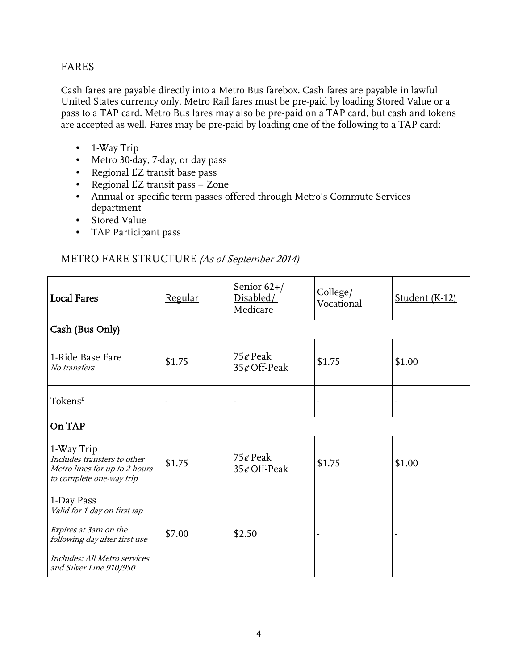#### <span id="page-3-0"></span>FARES

Cash fares are payable directly into a Metro Bus farebox. Cash fares are payable in lawful United States currency only. Metro Rail fares must be pre-paid by loading Stored Value or a pass to a TAP card. Metro Bus fares may also be pre-paid on a TAP card, but cash and tokens are accepted as well. Fares may be pre-paid by loading one of the following to a TAP card:

- 1-Way Trip
- Metro 30-day, 7-day, or day pass
- Regional EZ transit base pass
- Regional EZ transit pass + Zone
- Annual or specific term passes offered through Metro's Commute Services department
- Stored Value
- TAP Participant pass

#### <span id="page-3-1"></span>METRO FARE STRUCTURE (As of September 2014)

| <b>Local Fares</b>                                                                                                                                              | <u>Regular</u> | Senior $62+/-$<br>Disabled/<br><b>Medicare</b> | College/<br>Vocational | Student (K-12) |
|-----------------------------------------------------------------------------------------------------------------------------------------------------------------|----------------|------------------------------------------------|------------------------|----------------|
| Cash (Bus Only)                                                                                                                                                 |                |                                                |                        |                |
| 1-Ride Base Fare<br>No transfers                                                                                                                                | \$1.75         | 75 $\mathcal{C}$ Peak<br>$35¢$ Off-Peak        | \$1.75                 | \$1.00         |
| Tokens <sup>1</sup>                                                                                                                                             |                |                                                |                        |                |
| On TAP                                                                                                                                                          |                |                                                |                        |                |
| 1-Way Trip<br>Includes transfers to other<br>Metro lines for up to 2 hours<br>to complete one-way trip                                                          | \$1.75         | 75 $\mathcal{C}$ Peak<br>$35¢$ Off-Peak        | \$1.75                 | \$1.00         |
| 1-Day Pass<br>Valid for 1 day on first tap<br>Expires at 3am on the<br>following day after first use<br>Includes: All Metro services<br>and Silver Line 910/950 | \$7.00         | \$2.50                                         |                        |                |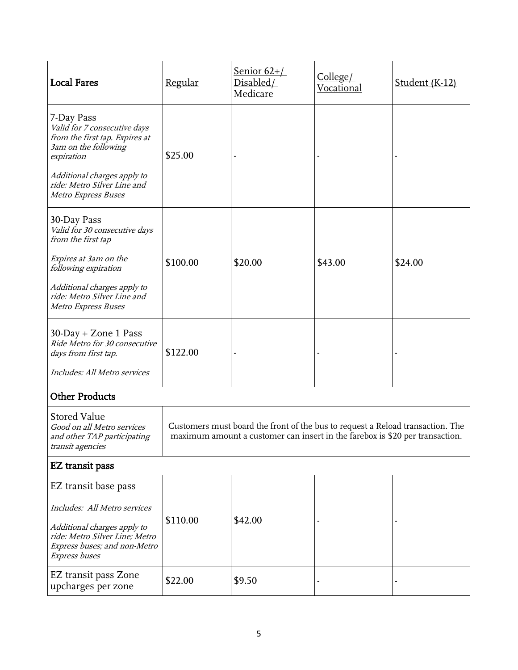| <b>Local Fares</b>                                                                                                                                                                                                                                                     | Regular  | <u>Senior 62+/</u><br>Disabled/<br>Medicare | College/<br>Vocational | Student (K-12) |
|------------------------------------------------------------------------------------------------------------------------------------------------------------------------------------------------------------------------------------------------------------------------|----------|---------------------------------------------|------------------------|----------------|
| 7-Day Pass<br>Valid for 7 consecutive days<br>from the first tap. Expires at<br>3am on the following<br>expiration<br>Additional charges apply to<br>ride: Metro Silver Line and<br>Metro Express Buses                                                                | \$25.00  |                                             |                        |                |
| 30-Day Pass<br>Valid for 30 consecutive days<br>from the first tap<br>Expires at 3am on the<br>following expiration                                                                                                                                                    | \$100.00 | \$20.00                                     | \$43.00                | \$24.00        |
| Additional charges apply to<br>ride: Metro Silver Line and<br>Metro Express Buses                                                                                                                                                                                      |          |                                             |                        |                |
| $30$ -Day + Zone 1 Pass<br>Ride Metro for 30 consecutive<br>days from first tap.<br>Includes: All Metro services                                                                                                                                                       | \$122.00 |                                             |                        |                |
| <b>Other Products</b>                                                                                                                                                                                                                                                  |          |                                             |                        |                |
| <b>Stored Value</b><br>Customers must board the front of the bus to request a Reload transaction. The<br>Good on all Metro services<br>maximum amount a customer can insert in the farebox is \$20 per transaction.<br>and other TAP participating<br>transit agencies |          |                                             |                        |                |
| EZ transit pass                                                                                                                                                                                                                                                        |          |                                             |                        |                |
| EZ transit base pass                                                                                                                                                                                                                                                   |          |                                             |                        |                |
| Includes: All Metro services<br>Additional charges apply to<br>ride: Metro Silver Line; Metro<br>Express buses; and non-Metro<br>Express buses                                                                                                                         | \$110.00 | \$42.00                                     |                        |                |
| EZ transit pass Zone<br>upcharges per zone                                                                                                                                                                                                                             | \$22.00  | \$9.50                                      |                        |                |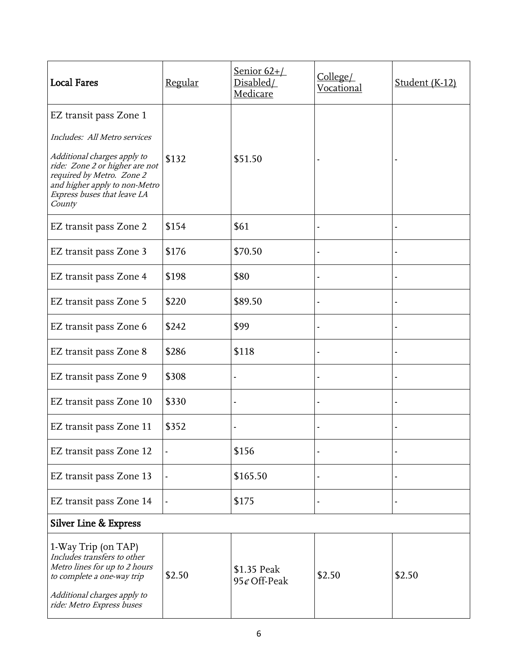| <b>Local Fares</b>                                                                                                                                                            | Regular | Senior $62+$ /<br>Disabled/<br>Medicare | College/<br>Vocational | Student (K-12) |
|-------------------------------------------------------------------------------------------------------------------------------------------------------------------------------|---------|-----------------------------------------|------------------------|----------------|
| EZ transit pass Zone 1                                                                                                                                                        |         |                                         |                        |                |
| Includes: All Metro services                                                                                                                                                  |         |                                         |                        |                |
| Additional charges apply to<br>ride: Zone 2 or higher are not<br>required by Metro. Zone 2<br>and higher apply to non-Metro<br>Express buses that leave LA<br>County          | \$132   | \$51.50                                 |                        |                |
| EZ transit pass Zone 2                                                                                                                                                        | \$154   | \$61                                    |                        |                |
| EZ transit pass Zone 3                                                                                                                                                        | \$176   | \$70.50                                 |                        |                |
| EZ transit pass Zone 4                                                                                                                                                        | \$198   | \$80                                    |                        |                |
| EZ transit pass Zone 5                                                                                                                                                        | \$220   | \$89.50                                 |                        |                |
| EZ transit pass Zone 6                                                                                                                                                        | \$242   | \$99                                    |                        |                |
| EZ transit pass Zone 8                                                                                                                                                        | \$286   | \$118                                   |                        |                |
| EZ transit pass Zone 9                                                                                                                                                        | \$308   |                                         |                        |                |
| EZ transit pass Zone 10                                                                                                                                                       | \$330   |                                         |                        |                |
| EZ transit pass Zone 11                                                                                                                                                       | \$352   |                                         |                        |                |
| EZ transit pass Zone 12                                                                                                                                                       |         | \$156                                   |                        |                |
| EZ transit pass Zone 13                                                                                                                                                       |         | \$165.50                                |                        |                |
| EZ transit pass Zone 14                                                                                                                                                       |         | \$175                                   |                        |                |
| Silver Line & Express                                                                                                                                                         |         |                                         |                        |                |
| 1-Way Trip (on TAP)<br>Includes transfers to other<br>Metro lines for up to 2 hours<br>to complete a one-way trip<br>Additional charges apply to<br>ride: Metro Express buses | \$2.50  | \$1.35 Peak<br>95¢ Off-Peak             | \$2.50                 | \$2.50         |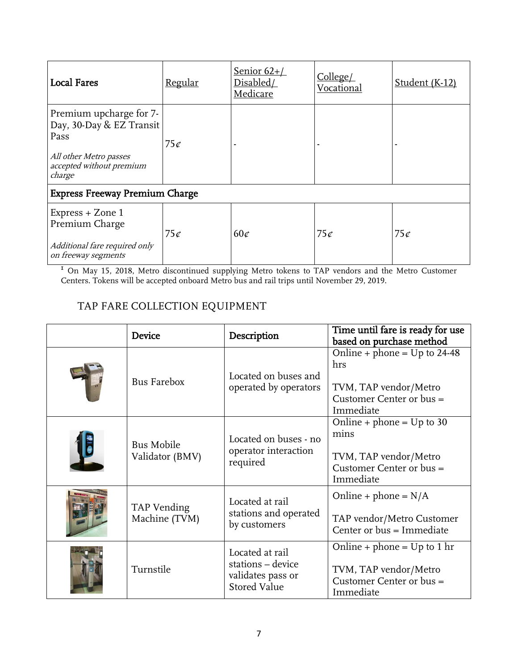| <b>Local Fares</b>                                                                                                          | <u>Regular</u> | Senior $62+$ /<br>Disabled/<br>Medicare | College/<br>Vocational | Student (K-12) |
|-----------------------------------------------------------------------------------------------------------------------------|----------------|-----------------------------------------|------------------------|----------------|
| Premium upcharge for 7-<br>Day, 30-Day & EZ Transit<br>Pass<br>All other Metro passes<br>accepted without premium<br>charge | 75c            |                                         |                        |                |
| <b>Express Freeway Premium Charge</b>                                                                                       |                |                                         |                        |                |
| Express + Zone 1<br>Premium Charge<br>Additional fare required only<br>on freeway segments                                  | 75c            | $60\sigma$                              | 75c                    | 75c            |

<sup>I</sup> On May 15, 2018, Metro discontinued supplying Metro tokens to TAP vendors and the Metro Customer Centers. Tokens will be accepted onboard Metro bus and rail trips until November 29, 2019.

# <span id="page-6-0"></span>TAP FARE COLLECTION EQUIPMENT

| <b>Device</b>                        | Description                                                                      | Time until fare is ready for use<br>based on purchase method                                            |
|--------------------------------------|----------------------------------------------------------------------------------|---------------------------------------------------------------------------------------------------------|
| <b>Bus Farebox</b>                   | Located on buses and<br>operated by operators                                    | Online + phone = $Up$ to 24-48<br>hrs<br>TVM, TAP vendor/Metro<br>Customer Center or bus =<br>Immediate |
| <b>Bus Mobile</b><br>Validator (BMV) | Located on buses - no<br>operator interaction<br>required                        | Online + phone = $Up$ to 30<br>mins<br>TVM, TAP vendor/Metro<br>Customer Center or $bus =$<br>Immediate |
| TAP Vending<br>Machine (TVM)         | Located at rail<br>stations and operated<br>by customers                         | Online + phone = $N/A$<br>TAP vendor/Metro Customer<br>Center or bus = Immediate                        |
| Turnstile                            | Located at rail<br>stations - device<br>validates pass or<br><b>Stored Value</b> | Online + phone = $Up$ to 1 hr<br>TVM, TAP vendor/Metro<br>Customer Center or bus =<br>Immediate         |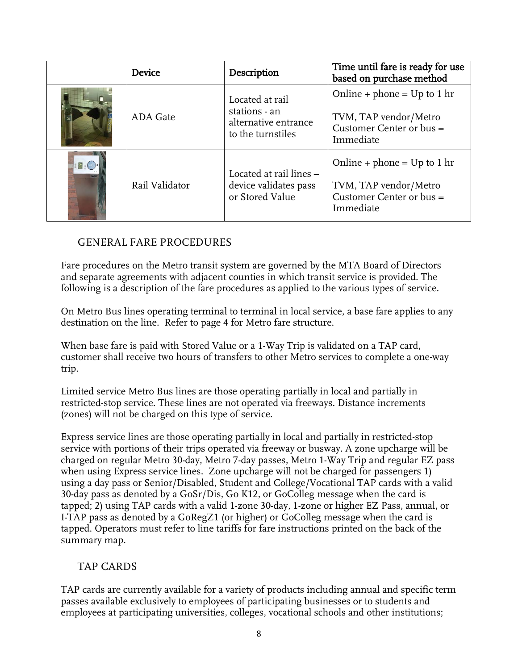|               | <b>Device</b>   | Description                                                                   | Time until fare is ready for use<br>based on purchase method                                      |
|---------------|-----------------|-------------------------------------------------------------------------------|---------------------------------------------------------------------------------------------------|
|               | <b>ADA</b> Gate | Located at rail<br>stations - an<br>alternative entrance<br>to the turnstiles | Online + phone = $Up$ to 1 hr<br>TVM, TAP vendor/Metro<br>Customer Center or $bus =$<br>Immediate |
| $\mathcal{L}$ | Rail Validator  | Located at rail lines -<br>device validates pass<br>or Stored Value           | Online + phone = $Up$ to 1 hr<br>TVM, TAP vendor/Metro<br>Customer Center or $bus =$<br>Immediate |

## <span id="page-7-0"></span>GENERAL FARE PROCEDURES

Fare procedures on the Metro transit system are governed by the MTA Board of Directors and separate agreements with adjacent counties in which transit service is provided. The following is a description of the fare procedures as applied to the various types of service.

On Metro Bus lines operating terminal to terminal in local service, a base fare applies to any destination on the line. Refer to page 4 for Metro fare structure.

When base fare is paid with Stored Value or a 1-Way Trip is validated on a TAP card, customer shall receive two hours of transfers to other Metro services to complete a one-way trip.

Limited service Metro Bus lines are those operating partially in local and partially in restricted-stop service. These lines are not operated via freeways. Distance increments (zones) will not be charged on this type of service.

Express service lines are those operating partially in local and partially in restricted-stop service with portions of their trips operated via freeway or busway. A zone upcharge will be charged on regular Metro 30-day, Metro 7-day passes, Metro 1-Way Trip and regular EZ pass when using Express service lines. Zone upcharge will not be charged for passengers 1) using a day pass or Senior/Disabled, Student and College/Vocational TAP cards with a valid 30-day pass as denoted by a GoSr/Dis, Go K12, or GoColleg message when the card is tapped; 2) using TAP cards with a valid 1-zone 30-day, 1-zone or higher EZ Pass, annual, or I-TAP pass as denoted by a GoRegZ1 (or higher) or GoColleg message when the card is tapped. Operators must refer to line tariffs for fare instructions printed on the back of the summary map.

## <span id="page-7-1"></span>TAP CARDS

TAP cards are currently available for a variety of products including annual and specific term passes available exclusively to employees of participating businesses or to students and employees at participating universities, colleges, vocational schools and other institutions;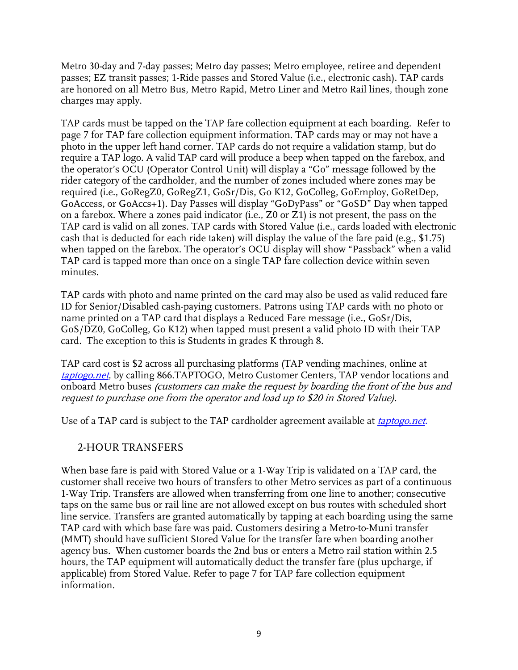Metro 30-day and 7-day passes; Metro day passes; Metro employee, retiree and dependent passes; EZ transit passes; 1-Ride passes and Stored Value (i.e., electronic cash). TAP cards are honored on all Metro Bus, Metro Rapid, Metro Liner and Metro Rail lines, though zone charges may apply.

TAP cards must be tapped on the TAP fare collection equipment at each boarding. Refer to page 7 for TAP fare collection equipment information. TAP cards may or may not have a photo in the upper left hand corner. TAP cards do not require a validation stamp, but do require a TAP logo. A valid TAP card will produce a beep when tapped on the farebox, and the operator's OCU (Operator Control Unit) will display a "Go" message followed by the rider category of the cardholder, and the number of zones included where zones may be required (i.e., GoRegZ0, GoRegZ1, GoSr/Dis, Go K12, GoColleg, GoEmploy, GoRetDep, GoAccess, or GoAccs+1). Day Passes will display "GoDyPass" or "GoSD" Day when tapped on a farebox. Where a zones paid indicator (i.e., Z0 or Z1) is not present, the pass on the TAP card is valid on all zones. TAP cards with Stored Value (i.e., cards loaded with electronic cash that is deducted for each ride taken) will display the value of the fare paid (e.g., \$1.75) when tapped on the farebox. The operator's OCU display will show "Passback" when a valid TAP card is tapped more than once on a single TAP fare collection device within seven minutes.

TAP cards with photo and name printed on the card may also be used as valid reduced fare ID for Senior/Disabled cash-paying customers. Patrons using TAP cards with no photo or name printed on a TAP card that displays a Reduced Fare message (i.e., GoSr/Dis, GoS/DZ0, GoColleg, Go K12) when tapped must present a valid photo ID with their TAP card. The exception to this is Students in grades K through 8.

TAP card cost is \$2 across all purchasing platforms (TAP vending machines, online at taptogo.net, by calling 866.TAPTOGO, Metro Customer Centers, TAP vendor locations and onboard Metro buses (customers can make the request by boarding the front of the bus and request to purchase one from the operator and load up to \$20 in Stored Value).

Use of a TAP card is subject to the TAP cardholder agreement available at *taptogo.net*.

#### <span id="page-8-0"></span>2-HOUR TRANSFERS

When base fare is paid with Stored Value or a 1-Way Trip is validated on a TAP card, the customer shall receive two hours of transfers to other Metro services as part of a continuous 1-Way Trip. Transfers are allowed when transferring from one line to another; consecutive taps on the same bus or rail line are not allowed except on bus routes with scheduled short line service. Transfers are granted automatically by tapping at each boarding using the same TAP card with which base fare was paid. Customers desiring a Metro-to-Muni transfer (MMT) should have sufficient Stored Value for the transfer fare when boarding another agency bus. When customer boards the 2nd bus or enters a Metro rail station within 2.5 hours, the TAP equipment will automatically deduct the transfer fare (plus upcharge, if applicable) from Stored Value. Refer to page 7 for TAP fare collection equipment information.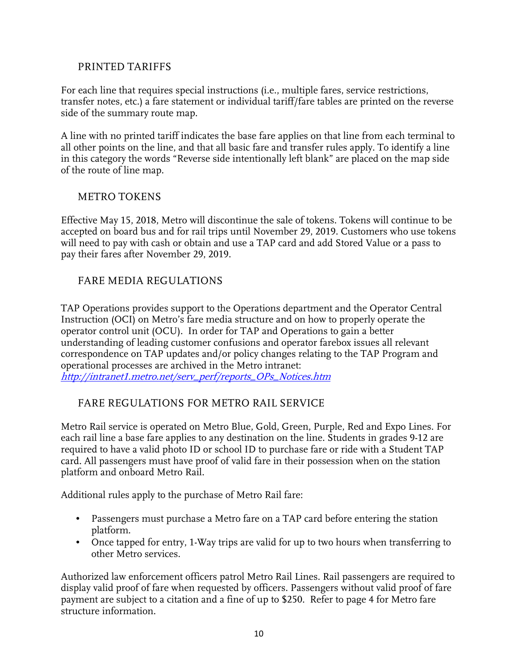#### <span id="page-9-0"></span>PRINTED TARIFFS

For each line that requires special instructions (i.e., multiple fares, service restrictions, transfer notes, etc.) a fare statement or individual tariff/fare tables are printed on the reverse side of the summary route map.

A line with no printed tariff indicates the base fare applies on that line from each terminal to all other points on the line, and that all basic fare and transfer rules apply. To identify a line in this category the words "Reverse side intentionally left blank" are placed on the map side of the route of line map.

#### <span id="page-9-1"></span>METRO TOKENS

Effective May 15, 2018, Metro will discontinue the sale of tokens. Tokens will continue to be accepted on board bus and for rail trips until November 29, 2019. Customers who use tokens will need to pay with cash or obtain and use a TAP card and add Stored Value or a pass to pay their fares after November 29, 2019.

## <span id="page-9-2"></span>FARE MEDIA REGULATIONS

TAP Operations provides support to the Operations department and the Operator Central Instruction (OCI) on Metro's fare media structure and on how to properly operate the operator control unit (OCU). In order for TAP and Operations to gain a better understanding of leading customer confusions and operator farebox issues all relevant correspondence on TAP updates and/or policy changes relating to the TAP Program and operational processes are archived in the Metro intranet: [http://intranet1.metro.net/serv\\_perf/reports\\_OPs\\_Notices.htm](http://intranet1.metro.net/serv_perf/reports_OPs_Notices.htm)

## <span id="page-9-3"></span>FARE REGULATIONS FOR METRO RAIL SERVICE

Metro Rail service is operated on Metro Blue, Gold, Green, Purple, Red and Expo Lines. For each rail line a base fare applies to any destination on the line. Students in grades 9-12 are required to have a valid photo ID or school ID to purchase fare or ride with a Student TAP card. All passengers must have proof of valid fare in their possession when on the station platform and onboard Metro Rail.

Additional rules apply to the purchase of Metro Rail fare:

- Passengers must purchase a Metro fare on a TAP card before entering the station platform.
- Once tapped for entry, 1-Way trips are valid for up to two hours when transferring to other Metro services.

Authorized law enforcement officers patrol Metro Rail Lines. Rail passengers are required to display valid proof of fare when requested by officers. Passengers without valid proof of fare payment are subject to a citation and a fine of up to \$250. Refer to page 4 for Metro fare structure information.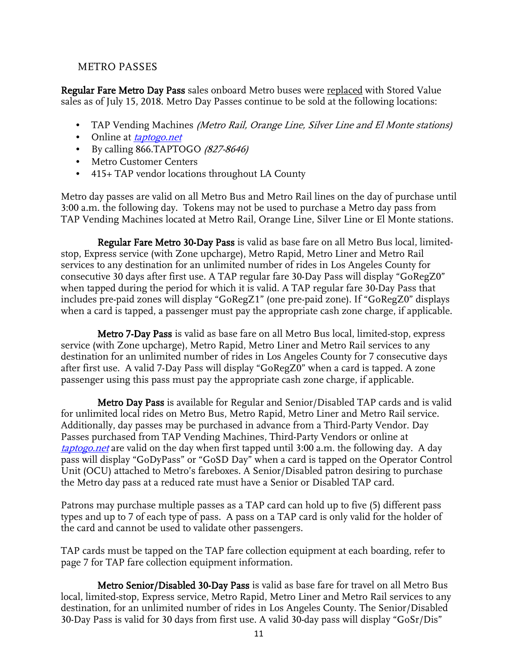#### <span id="page-10-0"></span>METRO PASSES

Regular Fare Metro Day Pass sales onboard Metro buses were replaced with Stored Value sales as of July 15, 2018. Metro Day Passes continue to be sold at the following locations:

- TAP Vending Machines (Metro Rail, Orange Line, Silver Line and El Monte stations)
- Online at *taptogo.net*
- By calling 866.TAPTOGO (827-8646)
- Metro Customer Centers
- 415+ TAP vendor locations throughout LA County

Metro day passes are valid on all Metro Bus and Metro Rail lines on the day of purchase until 3:00 a.m. the following day. Tokens may not be used to purchase a Metro day pass from TAP Vending Machines located at Metro Rail, Orange Line, Silver Line or El Monte stations.

<span id="page-10-1"></span>Regular Fare Metro 30-Day Pass is valid as base fare on all Metro Bus local, limitedstop, Express service (with Zone upcharge), Metro Rapid, Metro Liner and Metro Rail services to any destination for an unlimited number of rides in Los Angeles County for consecutive 30 days after first use. A TAP regular fare 30-Day Pass will display "GoRegZ0" when tapped during the period for which it is valid. A TAP regular fare 30-Day Pass that includes pre-paid zones will display "GoRegZ1" (one pre-paid zone). If "GoRegZ0" displays when a card is tapped, a passenger must pay the appropriate cash zone charge, if applicable.

<span id="page-10-2"></span>Metro 7-Day Pass is valid as base fare on all Metro Bus local, limited-stop, express service (with Zone upcharge), Metro Rapid, Metro Liner and Metro Rail services to any destination for an unlimited number of rides in Los Angeles County for 7 consecutive days after first use. A valid 7-Day Pass will display "GoRegZ0" when a card is tapped. A zone passenger using this pass must pay the appropriate cash zone charge, if applicable.

<span id="page-10-3"></span>Metro Day Pass is available for Regular and Senior/Disabled TAP cards and is valid for unlimited local rides on Metro Bus, Metro Rapid, Metro Liner and Metro Rail service. Additionally, day passes may be purchased in advance from a Third-Party Vendor. Day Passes purchased from TAP Vending Machines, Third-Party Vendors or online at taptogo. net are valid on the day when first tapped until 3:00 a.m. the following day. A day pass will display "GoDyPass" or "GoSD Day" when a card is tapped on the Operator Control Unit (OCU) attached to Metro's fareboxes. A Senior/Disabled patron desiring to purchase the Metro day pass at a reduced rate must have a Senior or Disabled TAP card.

Patrons may purchase multiple passes as a TAP card can hold up to five (5) different pass types and up to 7 of each type of pass. A pass on a TAP card is only valid for the holder of the card and cannot be used to validate other passengers.

TAP cards must be tapped on the TAP fare collection equipment at each boarding, refer to page 7 for TAP fare collection equipment information.

<span id="page-10-4"></span>Metro Senior/Disabled 30-Day Pass is valid as base fare for travel on all Metro Bus local, limited-stop, Express service, Metro Rapid, Metro Liner and Metro Rail services to any destination, for an unlimited number of rides in Los Angeles County. The Senior/Disabled 30-Day Pass is valid for 30 days from first use. A valid 30-day pass will display "GoSr/Dis"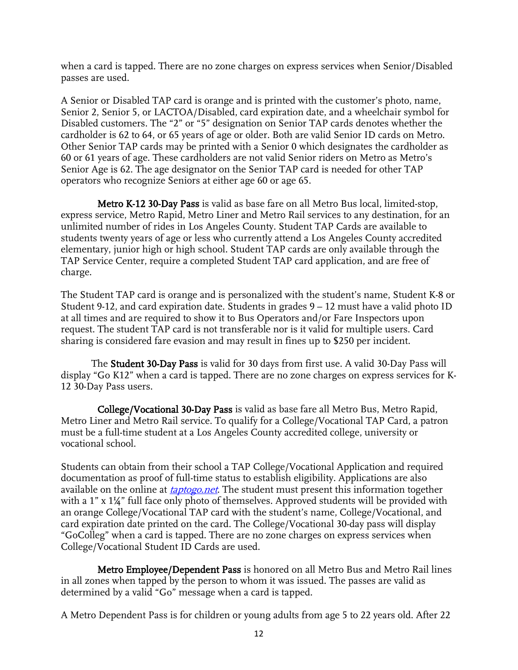when a card is tapped. There are no zone charges on express services when Senior/Disabled passes are used.

A Senior or Disabled TAP card is orange and is printed with the customer's photo, name, Senior 2, Senior 5, or LACTOA/Disabled, card expiration date, and a wheelchair symbol for Disabled customers. The "2" or "5" designation on Senior TAP cards denotes whether the cardholder is 62 to 64, or 65 years of age or older. Both are valid Senior ID cards on Metro. Other Senior TAP cards may be printed with a Senior 0 which designates the cardholder as 60 or 61 years of age. These cardholders are not valid Senior riders on Metro as Metro's Senior Age is 62. The age designator on the Senior TAP card is needed for other TAP operators who recognize Seniors at either age 60 or age 65.

<span id="page-11-0"></span>Metro K-12 30-Day Pass is valid as base fare on all Metro Bus local, limited-stop, express service, Metro Rapid, Metro Liner and Metro Rail services to any destination, for an unlimited number of rides in Los Angeles County. Student TAP Cards are available to students twenty years of age or less who currently attend a Los Angeles County accredited elementary, junior high or high school. Student TAP cards are only available through the TAP Service Center, require a completed Student TAP card application, and are free of charge.

The Student TAP card is orange and is personalized with the student's name, Student K-8 or Student 9-12, and card expiration date. Students in grades 9 – 12 must have a valid photo ID at all times and are required to show it to Bus Operators and/or Fare Inspectors upon request. The student TAP card is not transferable nor is it valid for multiple users. Card sharing is considered fare evasion and may result in fines up to \$250 per incident.

<span id="page-11-1"></span>The Student 30-Day Pass is valid for 30 days from first use. A valid 30-Day Pass will display "Go K12" when a card is tapped. There are no zone charges on express services for K-12 30-Day Pass users.

<span id="page-11-2"></span>College/Vocational 30-Day Pass is valid as base fare all Metro Bus, Metro Rapid, Metro Liner and Metro Rail service. To qualify for a College/Vocational TAP Card, a patron must be a full-time student at a Los Angeles County accredited college, university or vocational school.

Students can obtain from their school a TAP College/Vocational Application and required documentation as proof of full-time status to establish eligibility. Applications are also available on the online at *taptogo.net*. The student must present this information together with a 1" x 1¼" full face only photo of themselves. Approved students will be provided with an orange College/Vocational TAP card with the student's name, College/Vocational, and card expiration date printed on the card. The College/Vocational 30-day pass will display "GoColleg" when a card is tapped. There are no zone charges on express services when College/Vocational Student ID Cards are used.

<span id="page-11-3"></span>Metro Employee/Dependent Pass is honored on all Metro Bus and Metro Rail lines in all zones when tapped by the person to whom it was issued. The passes are valid as determined by a valid "Go" message when a card is tapped.

A Metro Dependent Pass is for children or young adults from age 5 to 22 years old. After 22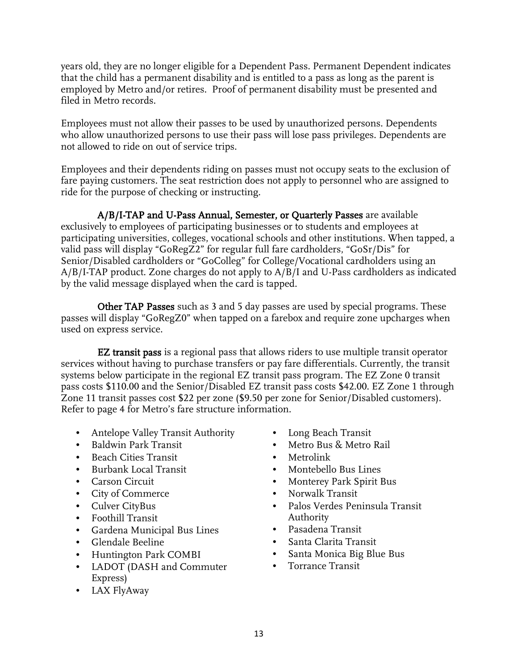years old, they are no longer eligible for a Dependent Pass. Permanent Dependent indicates that the child has a permanent disability and is entitled to a pass as long as the parent is employed by Metro and/or retires. Proof of permanent disability must be presented and filed in Metro records.

Employees must not allow their passes to be used by unauthorized persons. Dependents who allow unauthorized persons to use their pass will lose pass privileges. Dependents are not allowed to ride on out of service trips.

Employees and their dependents riding on passes must not occupy seats to the exclusion of fare paying customers. The seat restriction does not apply to personnel who are assigned to ride for the purpose of checking or instructing.

<span id="page-12-0"></span>A/B/I-TAP and U-Pass Annual, Semester, or Quarterly Passes are available exclusively to employees of participating businesses or to students and employees at participating universities, colleges, vocational schools and other institutions. When tapped, a valid pass will display "GoRegZ2" for regular full fare cardholders, "GoSr/Dis" for Senior/Disabled cardholders or "GoColleg" for College/Vocational cardholders using an A/B/I-TAP product. Zone charges do not apply to A/B/I and U-Pass cardholders as indicated by the valid message displayed when the card is tapped.

<span id="page-12-1"></span>Other TAP Passes such as 3 and 5 day passes are used by special programs. These passes will display "GoRegZ0" when tapped on a farebox and require zone upcharges when used on express service.

<span id="page-12-2"></span>EZ transit pass is a regional pass that allows riders to use multiple transit operator services without having to purchase transfers or pay fare differentials. Currently, the transit systems below participate in the regional EZ transit pass program. The EZ Zone 0 transit pass costs \$110.00 and the Senior/Disabled EZ transit pass costs \$42.00. EZ Zone 1 through Zone 11 transit passes cost \$22 per zone (\$9.50 per zone for Senior/Disabled customers). Refer to page 4 for Metro's fare structure information.

- Antelope Valley Transit Authority
- Baldwin Park Transit
- Beach Cities Transit
- Burbank Local Transit
- Carson Circuit
- City of Commerce
- Culver CityBus
- Foothill Transit
- Gardena Municipal Bus Lines
- Glendale Beeline
- Huntington Park COMBI
- LADOT (DASH and Commuter Express)
- LAX FlyAway
- Long Beach Transit
- Metro Bus & Metro Rail
- Metrolink
- Montebello Bus Lines
- Monterey Park Spirit Bus
- Norwalk Transit
- Palos Verdes Peninsula Transit Authority
- Pasadena Transit
- Santa Clarita Transit
- Santa Monica Big Blue Bus
- Torrance Transit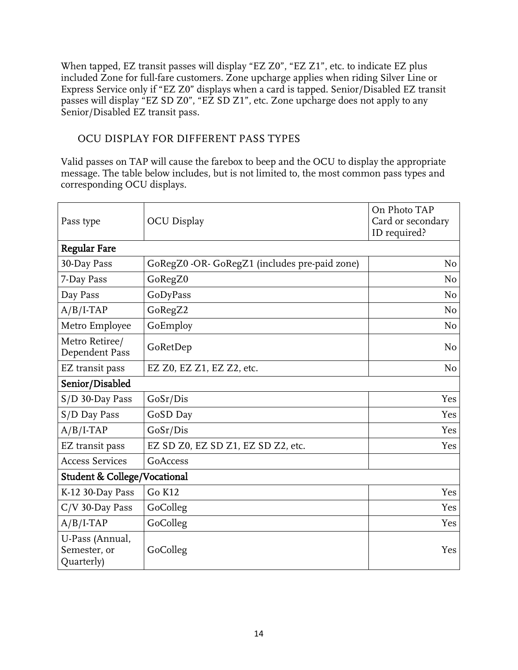When tapped, EZ transit passes will display "EZ Z0", "EZ Z1", etc. to indicate EZ plus included Zone for full-fare customers. Zone upcharge applies when riding Silver Line or Express Service only if "EZ Z0" displays when a card is tapped. Senior/Disabled EZ transit passes will display "EZ SD Z0", "EZ SD Z1", etc. Zone upcharge does not apply to any Senior/Disabled EZ transit pass.

## <span id="page-13-0"></span>OCU DISPLAY FOR DIFFERENT PASS TYPES

Valid passes on TAP will cause the farebox to beep and the OCU to display the appropriate message. The table below includes, but is not limited to, the most common pass types and corresponding OCU displays.

| Pass type                                     | <b>OCU</b> Display                            | On Photo TAP<br>Card or secondary<br>ID required? |  |
|-----------------------------------------------|-----------------------------------------------|---------------------------------------------------|--|
| <b>Regular Fare</b>                           |                                               |                                                   |  |
| 30-Day Pass                                   | GoRegZ0 -OR- GoRegZ1 (includes pre-paid zone) | No                                                |  |
| 7-Day Pass                                    | GoRegZ0                                       | N <sub>o</sub>                                    |  |
| Day Pass                                      | GoDyPass                                      | N <sub>o</sub>                                    |  |
| $A/B/I-TAP$                                   | GoRegZ2                                       | N <sub>o</sub>                                    |  |
| Metro Employee                                | GoEmploy                                      | N <sub>o</sub>                                    |  |
| Metro Retiree/<br>Dependent Pass              | GoRetDep                                      | N <sub>o</sub>                                    |  |
| EZ transit pass                               | EZ Z0, EZ Z1, EZ Z2, etc.                     | N <sub>o</sub>                                    |  |
| Senior/Disabled                               |                                               |                                                   |  |
| S/D 30-Day Pass                               | GoSr/Dis                                      | Yes                                               |  |
| S/D Day Pass                                  | GoSD Day                                      | Yes                                               |  |
| $A/B/I-TAP$                                   | GoSr/Dis                                      | Yes                                               |  |
| EZ transit pass                               | EZ SD Z0, EZ SD Z1, EZ SD Z2, etc.            | Yes                                               |  |
| <b>Access Services</b>                        | GoAccess                                      |                                                   |  |
| <b>Student &amp; College/Vocational</b>       |                                               |                                                   |  |
| K-12 30-Day Pass                              | Go K12                                        | Yes                                               |  |
| $C/V$ 30-Day Pass                             | GoColleg                                      | Yes                                               |  |
| $A/B/I-TAP$                                   | GoColleg                                      | Yes                                               |  |
| U-Pass (Annual,<br>Semester, or<br>Quarterly) | GoColleg                                      | Yes                                               |  |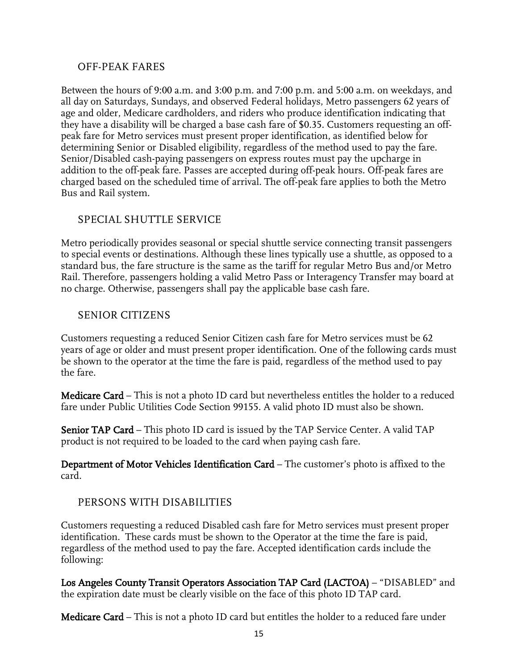#### <span id="page-14-0"></span>OFF-PEAK FARES

Between the hours of 9:00 a.m. and 3:00 p.m. and 7:00 p.m. and 5:00 a.m. on weekdays, and all day on Saturdays, Sundays, and observed Federal holidays, Metro passengers 62 years of age and older, Medicare cardholders, and riders who produce identification indicating that they have a disability will be charged a base cash fare of \$0.35. Customers requesting an offpeak fare for Metro services must present proper identification, as identified below for determining Senior or Disabled eligibility, regardless of the method used to pay the fare. Senior/Disabled cash-paying passengers on express routes must pay the upcharge in addition to the off-peak fare. Passes are accepted during off-peak hours. Off-peak fares are charged based on the scheduled time of arrival. The off-peak fare applies to both the Metro Bus and Rail system.

#### <span id="page-14-1"></span>SPECIAL SHUTTLE SERVICE

Metro periodically provides seasonal or special shuttle service connecting transit passengers to special events or destinations. Although these lines typically use a shuttle, as opposed to a standard bus, the fare structure is the same as the tariff for regular Metro Bus and/or Metro Rail. Therefore, passengers holding a valid Metro Pass or Interagency Transfer may board at no charge. Otherwise, passengers shall pay the applicable base cash fare.

#### <span id="page-14-2"></span>SENIOR CITIZENS

Customers requesting a reduced Senior Citizen cash fare for Metro services must be 62 years of age or older and must present proper identification. One of the following cards must be shown to the operator at the time the fare is paid, regardless of the method used to pay the fare.

Medicare Card – This is not a photo ID card but nevertheless entitles the holder to a reduced fare under Public Utilities Code Section 99155. A valid photo ID must also be shown.

Senior TAP Card – This photo ID card is issued by the TAP Service Center. A valid TAP product is not required to be loaded to the card when paying cash fare.

Department of Motor Vehicles Identification Card – The customer's photo is affixed to the card.

#### <span id="page-14-3"></span>PERSONS WITH DISABILITIES

Customers requesting a reduced Disabled cash fare for Metro services must present proper identification. These cards must be shown to the Operator at the time the fare is paid, regardless of the method used to pay the fare. Accepted identification cards include the following:

Los Angeles County Transit Operators Association TAP Card (LACTOA) – "DISABLED" and the expiration date must be clearly visible on the face of this photo ID TAP card.

Medicare Card – This is not a photo ID card but entitles the holder to a reduced fare under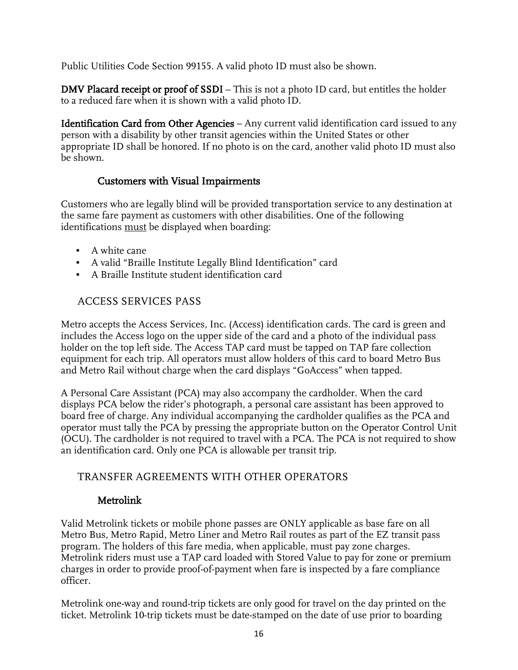Public Utilities Code Section 99155. A valid photo ID must also be shown.

DMV Placard receipt or proof of SSDI – This is not a photo ID card, but entitles the holder to a reduced fare when it is shown with a valid photo ID.

Identification Card from Other Agencies – Any current valid identification card issued to any person with a disability by other transit agencies within the United States or other appropriate ID shall be honored. If no photo is on the card, another valid photo ID must also be shown.

## Customers with Visual Impairments

<span id="page-15-0"></span>Customers who are legally blind will be provided transportation service to any destination at the same fare payment as customers with other disabilities. One of the following identifications must be displayed when boarding:

- A white cane
- A valid "Braille Institute Legally Blind Identification" card
- A Braille Institute student identification card

## <span id="page-15-1"></span>ACCESS SERVICES PASS

Metro accepts the Access Services, Inc. (Access) identification cards. The card is green and includes the Access logo on the upper side of the card and a photo of the individual pass holder on the top left side. The Access TAP card must be tapped on TAP fare collection equipment for each trip. All operators must allow holders of this card to board Metro Bus and Metro Rail without charge when the card displays "GoAccess" when tapped.

A Personal Care Assistant (PCA) may also accompany the cardholder. When the card displays PCA below the rider's photograph, a personal care assistant has been approved to board free of charge. Any individual accompanying the cardholder qualifies as the PCA and operator must tally the PCA by pressing the appropriate button on the Operator Control Unit (OCU). The cardholder is not required to travel with a PCA. The PCA is not required to show an identification card. Only one PCA is allowable per transit trip.

## <span id="page-15-2"></span>TRANSFER AGREEMENTS WITH OTHER OPERATORS

#### Metrolink

<span id="page-15-3"></span>Valid Metrolink tickets or mobile phone passes are ONLY applicable as base fare on all Metro Bus, Metro Rapid, Metro Liner and Metro Rail routes as part of the EZ transit pass program. The holders of this fare media, when applicable, must pay zone charges. Metrolink riders must use a TAP card loaded with Stored Value to pay for zone or premium charges in order to provide proof-of-payment when fare is inspected by a fare compliance officer.

Metrolink one-way and round-trip tickets are only good for travel on the day printed on the ticket. Metrolink 10-trip tickets must be date-stamped on the date of use prior to boarding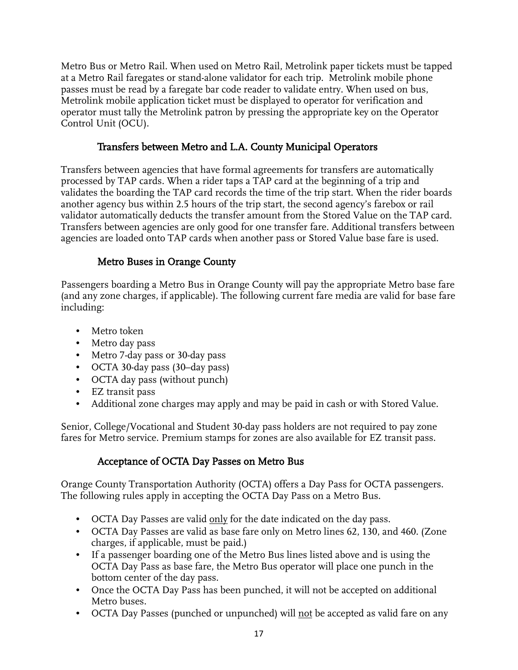Metro Bus or Metro Rail. When used on Metro Rail, Metrolink paper tickets must be tapped at a Metro Rail faregates or stand-alone validator for each trip. Metrolink mobile phone passes must be read by a faregate bar code reader to validate entry. When used on bus, Metrolink mobile application ticket must be displayed to operator for verification and operator must tally the Metrolink patron by pressing the appropriate key on the Operator Control Unit (OCU).

## Transfers between Metro and L.A. County Municipal Operators

<span id="page-16-0"></span>Transfers between agencies that have formal agreements for transfers are automatically processed by TAP cards. When a rider taps a TAP card at the beginning of a trip and validates the boarding the TAP card records the time of the trip start. When the rider boards another agency bus within 2.5 hours of the trip start, the second agency's farebox or rail validator automatically deducts the transfer amount from the Stored Value on the TAP card. Transfers between agencies are only good for one transfer fare. Additional transfers between agencies are loaded onto TAP cards when another pass or Stored Value base fare is used.

## Metro Buses in Orange County

<span id="page-16-1"></span>Passengers boarding a Metro Bus in Orange County will pay the appropriate Metro base fare (and any zone charges, if applicable). The following current fare media are valid for base fare including:

- Metro token
- Metro day pass
- Metro 7-day pass or 30-day pass
- OCTA 30-day pass (30–day pass)
- OCTA day pass (without punch)
- EZ transit pass
- Additional zone charges may apply and may be paid in cash or with Stored Value.

Senior, College/Vocational and Student 30-day pass holders are not required to pay zone fares for Metro service. Premium stamps for zones are also available for EZ transit pass.

## Acceptance of OCTA Day Passes on Metro Bus

<span id="page-16-2"></span>Orange County Transportation Authority (OCTA) offers a Day Pass for OCTA passengers. The following rules apply in accepting the OCTA Day Pass on a Metro Bus.

- OCTA Day Passes are valid <u>only</u> for the date indicated on the day pass.
- OCTA Day Passes are valid as base fare only on Metro lines 62, 130, and 460. (Zone charges, if applicable, must be paid.)
- If a passenger boarding one of the Metro Bus lines listed above and is using the OCTA Day Pass as base fare, the Metro Bus operator will place one punch in the bottom center of the day pass.
- Once the OCTA Day Pass has been punched, it will not be accepted on additional Metro buses.
- OCTA Day Passes (punched or unpunched) will not be accepted as valid fare on any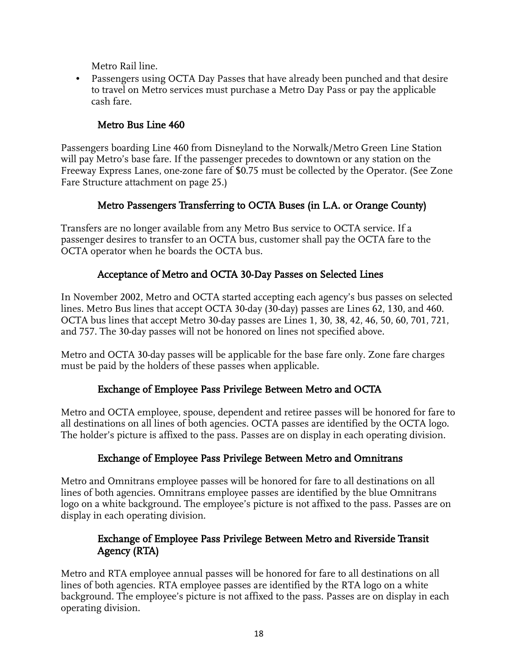Metro Rail line.

• Passengers using OCTA Day Passes that have already been punched and that desire to travel on Metro services must purchase a Metro Day Pass or pay the applicable cash fare.

## Metro Bus Line 460

<span id="page-17-0"></span>Passengers boarding Line 460 from Disneyland to the Norwalk/Metro Green Line Station will pay Metro's base fare. If the passenger precedes to downtown or any station on the Freeway Express Lanes, one-zone fare of \$0.75 must be collected by the Operator. (See Zone Fare Structure attachment on page 25.)

## Metro Passengers Transferring to OCTA Buses (in L.A. or Orange County)

<span id="page-17-1"></span>Transfers are no longer available from any Metro Bus service to OCTA service. If a passenger desires to transfer to an OCTA bus, customer shall pay the OCTA fare to the OCTA operator when he boards the OCTA bus.

## Acceptance of Metro and OCTA 30-Day Passes on Selected Lines

<span id="page-17-2"></span>In November 2002, Metro and OCTA started accepting each agency's bus passes on selected lines. Metro Bus lines that accept OCTA 30-day (30-day) passes are Lines 62, 130, and 460. OCTA bus lines that accept Metro 30-day passes are Lines 1, 30, 38, 42, 46, 50, 60, 701, 721, and 757. The 30-day passes will not be honored on lines not specified above.

Metro and OCTA 30-day passes will be applicable for the base fare only. Zone fare charges must be paid by the holders of these passes when applicable.

## Exchange of Employee Pass Privilege Between Metro and OCTA

<span id="page-17-3"></span>Metro and OCTA employee, spouse, dependent and retiree passes will be honored for fare to all destinations on all lines of both agencies. OCTA passes are identified by the OCTA logo. The holder's picture is affixed to the pass. Passes are on display in each operating division.

## Exchange of Employee Pass Privilege Between Metro and Omnitrans

<span id="page-17-4"></span>Metro and Omnitrans employee passes will be honored for fare to all destinations on all lines of both agencies. Omnitrans employee passes are identified by the blue Omnitrans logo on a white background. The employee's picture is not affixed to the pass. Passes are on display in each operating division.

## Exchange of Employee Pass Privilege Between Metro and Riverside Transit Agency (RTA)

<span id="page-17-5"></span>Metro and RTA employee annual passes will be honored for fare to all destinations on all lines of both agencies. RTA employee passes are identified by the RTA logo on a white background. The employee's picture is not affixed to the pass. Passes are on display in each operating division.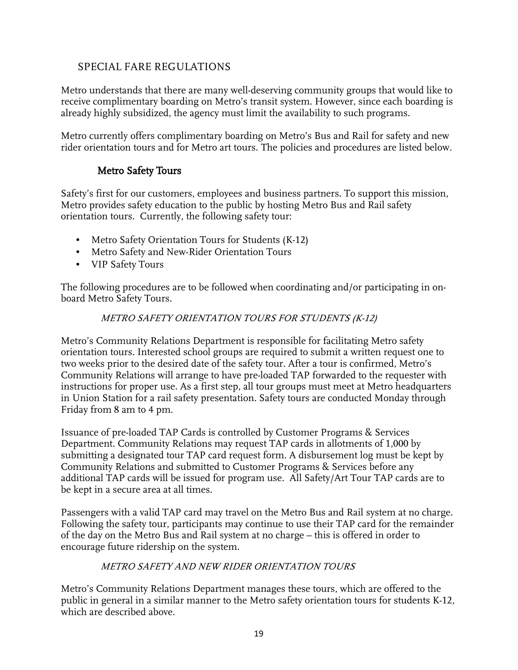## <span id="page-18-0"></span>SPECIAL FARE REGULATIONS

Metro understands that there are many well-deserving community groups that would like to receive complimentary boarding on Metro's transit system. However, since each boarding is already highly subsidized, the agency must limit the availability to such programs.

Metro currently offers complimentary boarding on Metro's Bus and Rail for safety and new rider orientation tours and for Metro art tours. The policies and procedures are listed below.

## Metro Safety Tours

<span id="page-18-1"></span>Safety's first for our customers, employees and business partners. To support this mission, Metro provides safety education to the public by hosting Metro Bus and Rail safety orientation tours. Currently, the following safety tour:

- Metro Safety Orientation Tours for Students (K-12)
- Metro Safety and New-Rider Orientation Tours
- VIP Safety Tours

<span id="page-18-2"></span>The following procedures are to be followed when coordinating and/or participating in onboard Metro Safety Tours.

#### METRO SAFETY ORIENTATION TOURS FOR STUDENTS (K-12)

Metro's Community Relations Department is responsible for facilitating Metro safety orientation tours. Interested school groups are required to submit a written request one to two weeks prior to the desired date of the safety tour. After a tour is confirmed, Metro's Community Relations will arrange to have pre-loaded TAP forwarded to the requester with instructions for proper use. As a first step, all tour groups must meet at Metro headquarters in Union Station for a rail safety presentation. Safety tours are conducted Monday through Friday from 8 am to 4 pm.

Issuance of pre-loaded TAP Cards is controlled by Customer Programs & Services Department. Community Relations may request TAP cards in allotments of 1,000 by submitting a designated tour TAP card request form. A disbursement log must be kept by Community Relations and submitted to Customer Programs & Services before any additional TAP cards will be issued for program use. All Safety/Art Tour TAP cards are to be kept in a secure area at all times.

Passengers with a valid TAP card may travel on the Metro Bus and Rail system at no charge. Following the safety tour, participants may continue to use their TAP card for the remainder of the day on the Metro Bus and Rail system at no charge – this is offered in order to encourage future ridership on the system.

#### METRO SAFETY AND NEW RIDER ORIENTATION TOURS

<span id="page-18-3"></span>Metro's Community Relations Department manages these tours, which are offered to the public in general in a similar manner to the Metro safety orientation tours for students K-12, which are described above.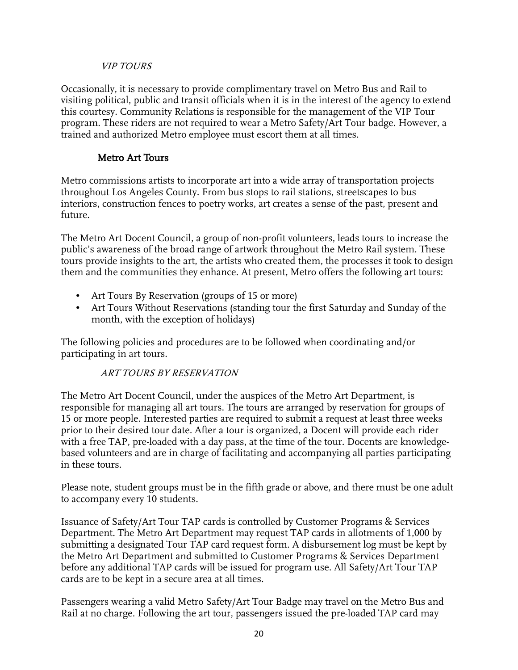#### VIP TOURS

<span id="page-19-0"></span>Occasionally, it is necessary to provide complimentary travel on Metro Bus and Rail to visiting political, public and transit officials when it is in the interest of the agency to extend this courtesy. Community Relations is responsible for the management of the VIP Tour program. These riders are not required to wear a Metro Safety/Art Tour badge. However, a trained and authorized Metro employee must escort them at all times.

## Metro Art Tours

<span id="page-19-1"></span>Metro commissions artists to incorporate art into a wide array of transportation projects throughout Los Angeles County. From bus stops to rail stations, streetscapes to bus interiors, construction fences to poetry works, art creates a sense of the past, present and future.

The Metro Art Docent Council, a group of non-profit volunteers, leads tours to increase the public's awareness of the broad range of artwork throughout the Metro Rail system. These tours provide insights to the art, the artists who created them, the processes it took to design them and the communities they enhance. At present, Metro offers the following art tours:

- Art Tours By Reservation (groups of 15 or more)
- Art Tours Without Reservations (standing tour the first Saturday and Sunday of the month, with the exception of holidays)

<span id="page-19-2"></span>The following policies and procedures are to be followed when coordinating and/or participating in art tours.

#### ART TOURS BY RESERVATION

The Metro Art Docent Council, under the auspices of the Metro Art Department, is responsible for managing all art tours. The tours are arranged by reservation for groups of 15 or more people. Interested parties are required to submit a request at least three weeks prior to their desired tour date. After a tour is organized, a Docent will provide each rider with a free TAP, pre-loaded with a day pass, at the time of the tour. Docents are knowledgebased volunteers and are in charge of facilitating and accompanying all parties participating in these tours.

Please note, student groups must be in the fifth grade or above, and there must be one adult to accompany every 10 students.

Issuance of Safety/Art Tour TAP cards is controlled by Customer Programs & Services Department. The Metro Art Department may request TAP cards in allotments of 1,000 by submitting a designated Tour TAP card request form. A disbursement log must be kept by the Metro Art Department and submitted to Customer Programs & Services Department before any additional TAP cards will be issued for program use. All Safety/Art Tour TAP cards are to be kept in a secure area at all times.

Passengers wearing a valid Metro Safety/Art Tour Badge may travel on the Metro Bus and Rail at no charge. Following the art tour, passengers issued the pre-loaded TAP card may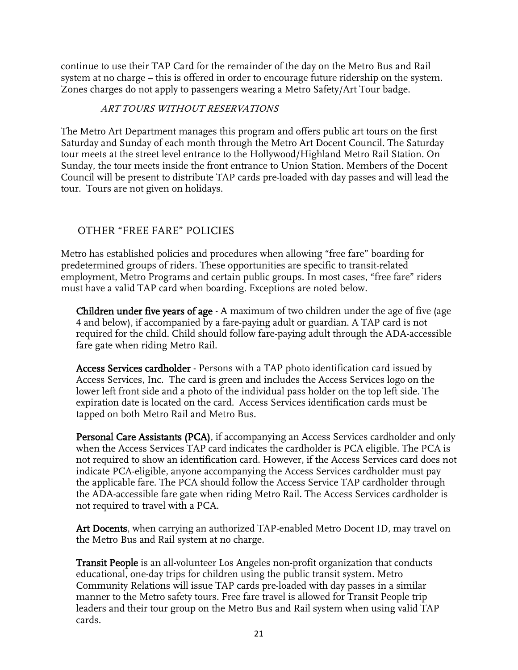continue to use their TAP Card for the remainder of the day on the Metro Bus and Rail system at no charge – this is offered in order to encourage future ridership on the system. Zones charges do not apply to passengers wearing a Metro Safety/Art Tour badge.

#### ART TOURS WITHOUT RESERVATIONS

<span id="page-20-0"></span>The Metro Art Department manages this program and offers public art tours on the first Saturday and Sunday of each month through the Metro Art Docent Council. The Saturday tour meets at the street level entrance to the Hollywood/Highland Metro Rail Station. On Sunday, the tour meets inside the front entrance to Union Station. Members of the Docent Council will be present to distribute TAP cards pre-loaded with day passes and will lead the tour. Tours are not given on holidays.

## <span id="page-20-1"></span>OTHER "FREE FARE" POLICIES

Metro has established policies and procedures when allowing "free fare" boarding for predetermined groups of riders. These opportunities are specific to transit-related employment, Metro Programs and certain public groups. In most cases, "free fare" riders must have a valid TAP card when boarding. Exceptions are noted below.

<span id="page-20-2"></span>**Children under five years of age** - A maximum of two children under the age of five (age 4 and below), if accompanied by a fare-paying adult or guardian. A TAP card is not required for the child. Child should follow fare-paying adult through the ADA-accessible fare gate when riding Metro Rail.

<span id="page-20-3"></span>Access Services cardholder - Persons with a TAP photo identification card issued by Access Services, Inc. The card is green and includes the Access Services logo on the lower left front side and a photo of the individual pass holder on the top left side. The expiration date is located on the card. Access Services identification cards must be tapped on both Metro Rail and Metro Bus.

<span id="page-20-4"></span>Personal Care Assistants (PCA), if accompanying an Access Services cardholder and only when the Access Services TAP card indicates the cardholder is PCA eligible. The PCA is not required to show an identification card. However, if the Access Services card does not indicate PCA-eligible, anyone accompanying the Access Services cardholder must pay the applicable fare. The PCA should follow the Access Service TAP cardholder through the ADA-accessible fare gate when riding Metro Rail. The Access Services cardholder is not required to travel with a PCA.

<span id="page-20-5"></span>Art Docents, when carrying an authorized TAP-enabled Metro Docent ID, may travel on the Metro Bus and Rail system at no charge.

<span id="page-20-6"></span>Transit People is an all-volunteer Los Angeles non-profit organization that conducts educational, one-day trips for children using the public transit system. Metro Community Relations will issue TAP cards pre-loaded with day passes in a similar manner to the Metro safety tours. Free fare travel is allowed for Transit People trip leaders and their tour group on the Metro Bus and Rail system when using valid TAP cards.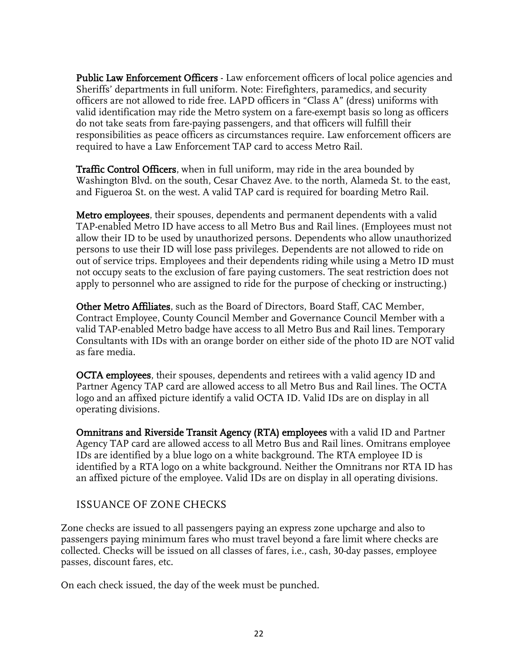<span id="page-21-0"></span>Public Law Enforcement Officers - Law enforcement officers of local police agencies and Sheriffs' departments in full uniform. Note: Firefighters, paramedics, and security officers are not allowed to ride free. LAPD officers in "Class A" (dress) uniforms with valid identification may ride the Metro system on a fare-exempt basis so long as officers do not take seats from fare-paying passengers, and that officers will fulfill their responsibilities as peace officers as circumstances require. Law enforcement officers are required to have a Law Enforcement TAP card to access Metro Rail.

<span id="page-21-1"></span>Traffic Control Officers, when in full uniform, may ride in the area bounded by Washington Blvd. on the south, Cesar Chavez Ave. to the north, Alameda St. to the east, and Figueroa St. on the west. A valid TAP card is required for boarding Metro Rail.

<span id="page-21-2"></span>Metro employees, their spouses, dependents and permanent dependents with a valid TAP-enabled Metro ID have access to all Metro Bus and Rail lines. (Employees must not allow their ID to be used by unauthorized persons. Dependents who allow unauthorized persons to use their ID will lose pass privileges. Dependents are not allowed to ride on out of service trips. Employees and their dependents riding while using a Metro ID must not occupy seats to the exclusion of fare paying customers. The seat restriction does not apply to personnel who are assigned to ride for the purpose of checking or instructing.)

<span id="page-21-3"></span>Other Metro Affiliates, such as the Board of Directors, Board Staff, CAC Member, Contract Employee, County Council Member and Governance Council Member with a valid TAP-enabled Metro badge have access to all Metro Bus and Rail lines. Temporary Consultants with IDs with an orange border on either side of the photo ID are NOT valid as fare media.

<span id="page-21-4"></span>OCTA employees, their spouses, dependents and retirees with a valid agency ID and Partner Agency TAP card are allowed access to all Metro Bus and Rail lines. The OCTA logo and an affixed picture identify a valid OCTA ID. Valid IDs are on display in all operating divisions.

<span id="page-21-5"></span>Omnitrans and Riverside Transit Agency (RTA) employees with a valid ID and Partner Agency TAP card are allowed access to all Metro Bus and Rail lines. Omitrans employee IDs are identified by a blue logo on a white background. The RTA employee ID is identified by a RTA logo on a white background. Neither the Omnitrans nor RTA ID has an affixed picture of the employee. Valid IDs are on display in all operating divisions.

## <span id="page-21-6"></span>ISSUANCE OF ZONE CHECKS

Zone checks are issued to all passengers paying an express zone upcharge and also to passengers paying minimum fares who must travel beyond a fare limit where checks are collected. Checks will be issued on all classes of fares, i.e., cash, 30-day passes, employee passes, discount fares, etc.

On each check issued, the day of the week must be punched.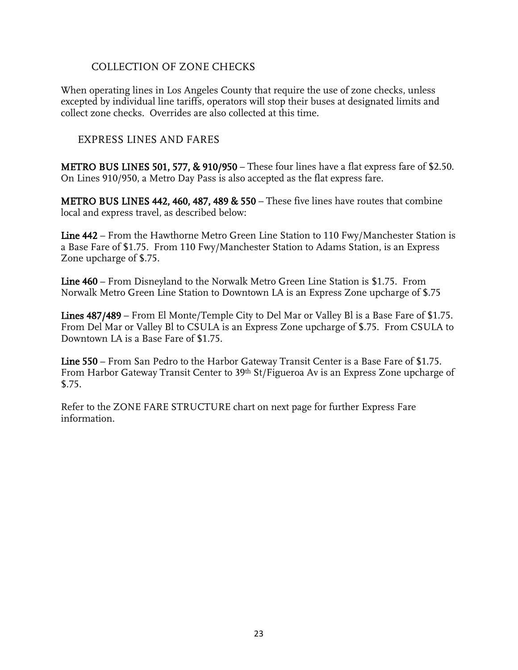#### COLLECTION OF ZONE CHECKS

<span id="page-22-0"></span>When operating lines in Los Angeles County that require the use of zone checks, unless excepted by individual line tariffs, operators will stop their buses at designated limits and collect zone checks. Overrides are also collected at this time.

#### <span id="page-22-1"></span>EXPRESS LINES AND FARES

METRO BUS LINES 501, 577, & 910/950 – These four lines have a flat express fare of \$2.50. On Lines 910/950, a Metro Day Pass is also accepted as the flat express fare.

METRO BUS LINES 442, 460, 487, 489 & 550 – These five lines have routes that combine local and express travel, as described below:

Line 442 – From the Hawthorne Metro Green Line Station to 110 Fwy/Manchester Station is a Base Fare of \$1.75. From 110 Fwy/Manchester Station to Adams Station, is an Express Zone upcharge of \$.75.

Line 460 – From Disneyland to the Norwalk Metro Green Line Station is \$1.75. From Norwalk Metro Green Line Station to Downtown LA is an Express Zone upcharge of \$.75

Lines 487/489 – From El Monte/Temple City to Del Mar or Valley Bl is a Base Fare of \$1.75. From Del Mar or Valley Bl to CSULA is an Express Zone upcharge of \$.75. From CSULA to Downtown LA is a Base Fare of \$1.75.

Line 550 – From San Pedro to the Harbor Gateway Transit Center is a Base Fare of \$1.75. From Harbor Gateway Transit Center to 39th St/Figueroa Av is an Express Zone upcharge of \$.75.

Refer to the ZONE FARE STRUCTURE chart on next page for further Express Fare information.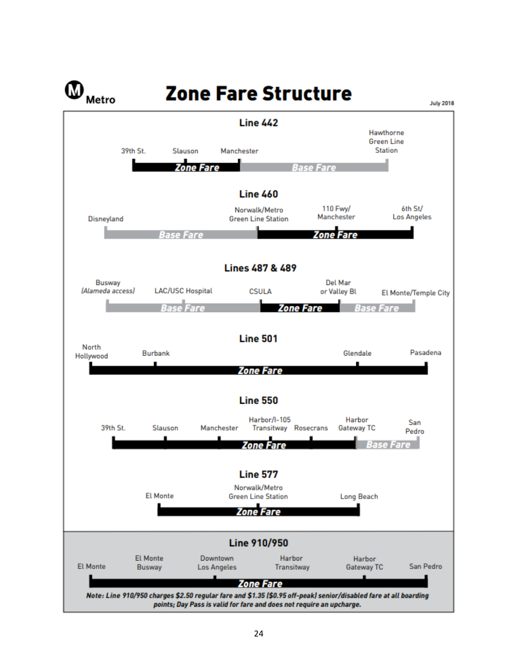<span id="page-23-0"></span>